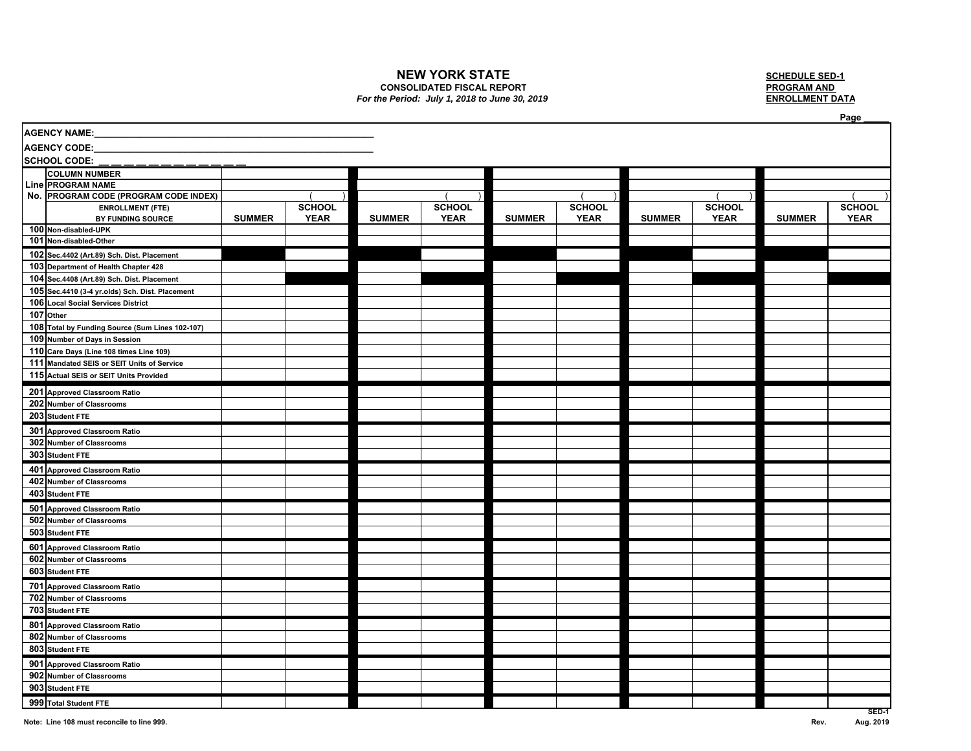### **NEW YORK STATE**

# **CONSOLIDATED FISCAL REPORT**

#### *For the Period: July 1, 2018 to June 30, 2019*

 **SCHEDULE SED-1 PROGRAM AND** 

|                     |                                                                                  |               |               |               |               |               |               |               |               |               | Page          |
|---------------------|----------------------------------------------------------------------------------|---------------|---------------|---------------|---------------|---------------|---------------|---------------|---------------|---------------|---------------|
| <b>AGENCY NAME:</b> |                                                                                  |               |               |               |               |               |               |               |               |               |               |
| <b>AGENCY CODE:</b> |                                                                                  |               |               |               |               |               |               |               |               |               |               |
|                     | <b>SCHOOL CODE:</b>                                                              |               |               |               |               |               |               |               |               |               |               |
|                     | <b>COLUMN NUMBER</b>                                                             |               |               |               |               |               |               |               |               |               |               |
|                     | <b>Line PROGRAM NAME</b>                                                         |               |               |               |               |               |               |               |               |               |               |
|                     | No. PROGRAM CODE (PROGRAM CODE INDEX)                                            |               |               |               |               |               |               |               |               |               |               |
|                     | <b>ENROLLMENT (FTE)</b>                                                          |               | <b>SCHOOL</b> |               | <b>SCHOOL</b> |               | <b>SCHOOL</b> |               | <b>SCHOOL</b> |               | <b>SCHOOL</b> |
|                     | BY FUNDING SOURCE                                                                | <b>SUMMER</b> | <b>YEAR</b>   | <b>SUMMER</b> | <b>YEAR</b>   | <b>SUMMER</b> | <b>YEAR</b>   | <b>SUMMER</b> | <b>YEAR</b>   | <b>SUMMER</b> | <b>YEAR</b>   |
|                     | 100 Non-disabled-UPK                                                             |               |               |               |               |               |               |               |               |               |               |
|                     | 101 Non-disabled-Other                                                           |               |               |               |               |               |               |               |               |               |               |
|                     | 102 Sec.4402 (Art.89) Sch. Dist. Placement                                       |               |               |               |               |               |               |               |               |               |               |
|                     | 103 Department of Health Chapter 428                                             |               |               |               |               |               |               |               |               |               |               |
|                     | 104 Sec.4408 (Art.89) Sch. Dist. Placement                                       |               |               |               |               |               |               |               |               |               |               |
|                     | 105 Sec.4410 (3-4 yr.olds) Sch. Dist. Placement                                  |               |               |               |               |               |               |               |               |               |               |
|                     | 106 Local Social Services District                                               |               |               |               |               |               |               |               |               |               |               |
|                     | 107 Other                                                                        |               |               |               |               |               |               |               |               |               |               |
|                     | 108 Total by Funding Source (Sum Lines 102-107)<br>109 Number of Days in Session |               |               |               |               |               |               |               |               |               |               |
|                     | 110 Care Days (Line 108 times Line 109)                                          |               |               |               |               |               |               |               |               |               |               |
|                     | 111 Mandated SEIS or SEIT Units of Service                                       |               |               |               |               |               |               |               |               |               |               |
|                     | 115 Actual SEIS or SEIT Units Provided                                           |               |               |               |               |               |               |               |               |               |               |
|                     |                                                                                  |               |               |               |               |               |               |               |               |               |               |
|                     | 201 Approved Classroom Ratio                                                     |               |               |               |               |               |               |               |               |               |               |
|                     | 202 Number of Classrooms                                                         |               |               |               |               |               |               |               |               |               |               |
|                     | 203 Student FTE                                                                  |               |               |               |               |               |               |               |               |               |               |
|                     | 301 Approved Classroom Ratio                                                     |               |               |               |               |               |               |               |               |               |               |
|                     | 302 Number of Classrooms                                                         |               |               |               |               |               |               |               |               |               |               |
|                     | 303 Student FTE                                                                  |               |               |               |               |               |               |               |               |               |               |
|                     | 401 Approved Classroom Ratio                                                     |               |               |               |               |               |               |               |               |               |               |
|                     | 402 Number of Classrooms                                                         |               |               |               |               |               |               |               |               |               |               |
|                     | 403 Student FTE                                                                  |               |               |               |               |               |               |               |               |               |               |
|                     | 501 Approved Classroom Ratio                                                     |               |               |               |               |               |               |               |               |               |               |
|                     | 502 Number of Classrooms                                                         |               |               |               |               |               |               |               |               |               |               |
|                     | 503 Student FTE                                                                  |               |               |               |               |               |               |               |               |               |               |
|                     | 601 Approved Classroom Ratio                                                     |               |               |               |               |               |               |               |               |               |               |
|                     | 602 Number of Classrooms                                                         |               |               |               |               |               |               |               |               |               |               |
|                     | 603 Student FTE                                                                  |               |               |               |               |               |               |               |               |               |               |
|                     | 701 Approved Classroom Ratio                                                     |               |               |               |               |               |               |               |               |               |               |
|                     | 702 Number of Classrooms                                                         |               |               |               |               |               |               |               |               |               |               |
|                     | 703 Student FTE                                                                  |               |               |               |               |               |               |               |               |               |               |
|                     | 801 Approved Classroom Ratio                                                     |               |               |               |               |               |               |               |               |               |               |
|                     | 802 Number of Classrooms                                                         |               |               |               |               |               |               |               |               |               |               |
|                     | 803 Student FTE                                                                  |               |               |               |               |               |               |               |               |               |               |
|                     | 901 Approved Classroom Ratio                                                     |               |               |               |               |               |               |               |               |               |               |
|                     | 902 Number of Classrooms                                                         |               |               |               |               |               |               |               |               |               |               |
|                     | 903 Student FTE                                                                  |               |               |               |               |               |               |               |               |               |               |
|                     | 999 Total Student FTE                                                            |               |               |               |               |               |               |               |               |               |               |
|                     |                                                                                  |               |               |               |               |               |               |               |               |               | $SED-1$       |